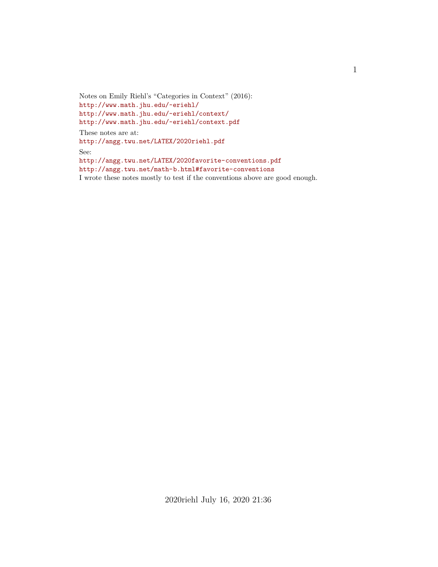Notes on Emily Riehl's "Categories in Context" (2016): <http://www.math.jhu.edu/~eriehl/> <http://www.math.jhu.edu/~eriehl/context/> <http://www.math.jhu.edu/~eriehl/context.pdf> These notes are at: <http://angg.twu.net/LATEX/2020riehl.pdf> See: <http://angg.twu.net/LATEX/2020favorite-conventions.pdf> <http://angg.twu.net/math-b.html#favorite-conventions> I wrote these notes mostly to test if the conventions above are good enough.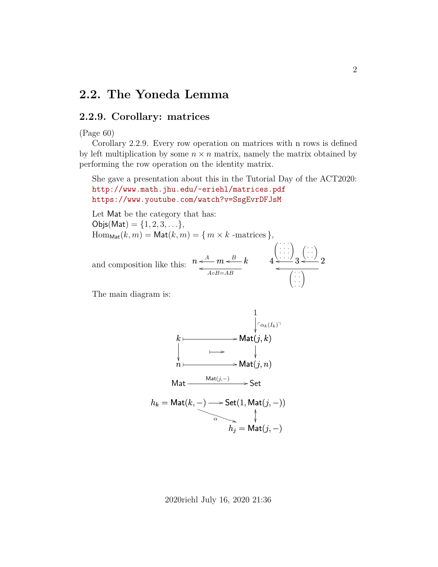#### **2.2. The Yoneda Lemma**

#### **2.2.9. Corollary: matrices**

#### (Page 60)

Corollary 2.2.9. Every row operation on matrices with n rows is defined by left multiplication by some  $n \times n$  matrix, namely the matrix obtained by performing the row operation on the identity matrix.

She gave a presentation about this in the Tutorial Day of the ACT2020: <http://www.math.jhu.edu/~eriehl/matrices.pdf> <https://www.youtube.com/watch?v=SsgEvrDFJsM>

Let Mat be the category that has:

 $Objs(Mat) = \{1, 2, 3, \ldots\},\$  $\text{Hom}_{\text{Mat}}(k, m) = \text{Mat}(k, m) = \{ m \times k \text{ -matrices } \},$ 

and composition like this:  $n \leq A - m \leq B - k$  $\leftarrow$   $A \circ B = AB$  $4 \stackrel{\cdots}{\longleftarrow} 3$  $\begin{pmatrix} \cdots \\ \cdots \\ 3 \end{pmatrix}$  $\begin{pmatrix} \vdots \\ \vdots \end{pmatrix}$  $4 \stackrel{\cdots}{\longleftarrow} 3 \stackrel{\cdots}{\longleftarrow} 2$  $\left(\begin{array}{c} \vdots \\ \vdots \end{array}\right)$ 

The main diagram is:

$$
k \longrightarrow \text{Mat}(j,k)
$$
\n
$$
k \longrightarrow \text{Mat}(j,k)
$$
\n
$$
n \longmapsto \text{Mat}(j,n)
$$
\n
$$
\text{Mat} \longrightarrow \text{Mat}(j,n)
$$
\n
$$
k \longrightarrow \text{Mat}(j,n)
$$
\n
$$
k \longrightarrow \text{Mat}(j,n)
$$
\n
$$
k \longrightarrow \text{Mat}(j,-)
$$
\n
$$
k \longrightarrow \text{Mat}(j,-)
$$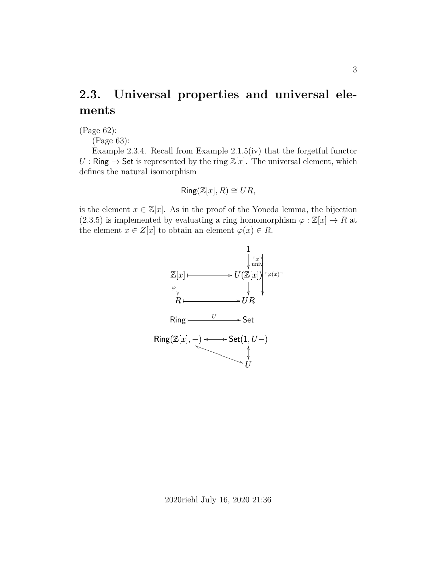## **2.3. Universal properties and universal elements**

(Page 62):

(Page 63):

Example 2.3.4. Recall from Example 2.1.5(iv) that the forgetful functor U : Ring  $\rightarrow$  Set is represented by the ring  $\mathbb{Z}[x]$ . The universal element, which defines the natural isomorphism

$$
\mathsf{Ring}(\mathbb{Z}[x], R) \cong UR,
$$

is the element  $x \in \mathbb{Z}[x]$ . As in the proof of the Yoneda lemma, the bijection (2.3.5) is implemented by evaluating a ring homomorphism  $\varphi : \mathbb{Z}[x] \to R$  at the element  $x \in Z[x]$  to obtain an element  $\varphi(x) \in R$ .

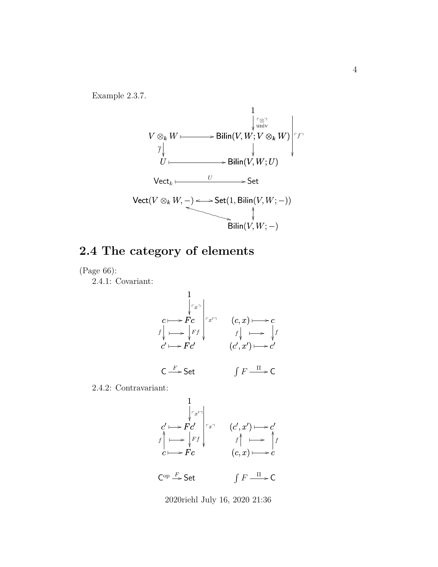

## **2.4 The category of elements**

(Page 66):

2.4.1: Covariant:

$$
\begin{array}{c}\n1 \\
\downarrow \uparrow x \\
Fc \\
\downarrow \downarrow \rightarrow \downarrow \downarrow \downarrow \uparrow \downarrow\n\end{array}\n\quad (c, x) \longmapsto c \\
\downarrow f \downarrow \downarrow \rightarrow \downarrow f \\
\downarrow c' \longmapsto Fc' \\
\downarrow c' \rightarrow Fc' \\
\downarrow f \downarrow \rightarrow \downarrow f \\
\downarrow c' \rightarrow \downarrow f \\
\downarrow f \downarrow \rightarrow \downarrow f \\
\downarrow f \downarrow \rightarrow \downarrow f \\
\downarrow f \downarrow \rightarrow \downarrow f \\
\downarrow f \downarrow \rightarrow \downarrow f \\
\downarrow f \downarrow \rightarrow \downarrow f \\
\downarrow f \downarrow \rightarrow \downarrow f \\
\downarrow f \downarrow \rightarrow \downarrow f \\
\downarrow f \downarrow \rightarrow \downarrow f \\
\downarrow f \downarrow \rightarrow \downarrow f \\
\downarrow f \downarrow \rightarrow \downarrow f \\
\downarrow f \downarrow \rightarrow \downarrow f \\
\downarrow f \downarrow \rightarrow \downarrow f \\
\downarrow f \downarrow \rightarrow \downarrow f \\
\downarrow f \downarrow \rightarrow \downarrow f \\
\downarrow f \downarrow \rightarrow \downarrow f \\
\downarrow f \downarrow \rightarrow \downarrow f \\
\downarrow f \downarrow \rightarrow \downarrow f \\
\downarrow f \downarrow \rightarrow \downarrow f \\
\downarrow f \downarrow \rightarrow \downarrow f \\
\downarrow f \downarrow \rightarrow \downarrow f \\
\downarrow f \downarrow \rightarrow \downarrow f \\
\downarrow f \downarrow \rightarrow \downarrow f \\
\downarrow f \downarrow \rightarrow \downarrow f \\
\downarrow f \downarrow \rightarrow \downarrow f \\
\downarrow f \downarrow \rightarrow \downarrow f \\
\downarrow f \downarrow \rightarrow \downarrow f \\
\downarrow f \downarrow \rightarrow \downarrow f \\
\downarrow f \downarrow \rightarrow \downarrow f \\
\downarrow f \downarrow \rightarrow \downarrow f \\
\downarrow f \downarrow \rightarrow \downarrow f \\
\downarrow f \downarrow \rightarrow \downarrow f \\
\downarrow f \downarrow \rightarrow \downarrow f \\
\downarrow f \downarrow \rightarrow \downarrow f \\
\downarrow f \downarrow \rightarrow \downarrow f \\
\downarrow f \downarrow \rightarrow \downarrow f \\
\downarrow f \downarrow \rightarrow \downarrow f \\
\downarrow f \downarrow \rightarrow \downarrow f \\
\downarrow f \downarrow \rightarrow \downarrow f \\
\downarrow f \downarrow \rightarrow \downarrow f \\
\downarrow f \downarrow \rightarrow \downarrow f \\
\downarrow f \downarrow \rightarrow \downarrow f \\
\downarrow f \downarrow \rightarrow \downarrow f \\
\downarrow f \downarrow \rightarrow \downarrow f \\
\downarrow f \downarrow \rightarrow \downarrow f \\
\downarrow f \downarrow \rightarrow \downarrow f
$$

2.4.2: Contravariant:

$$
\begin{array}{c}\n1 \\
c' \mapsto Fc' \\
f \mapsto Fc \\
c \mapsto Fc\n\end{array}\n\begin{array}{c}\n1 \\
\downarrow \tau_x \uparrow \\
f \uparrow \mapsto f \\
(c, x) \mapsto c\n\end{array}
$$

 $\mathsf{C}^{\mathrm{op}} \stackrel{F}{\longrightarrow} \mathsf{Set}$   $\qquad \qquad \int F \stackrel{\Pi}{\longrightarrow} \mathsf{C}$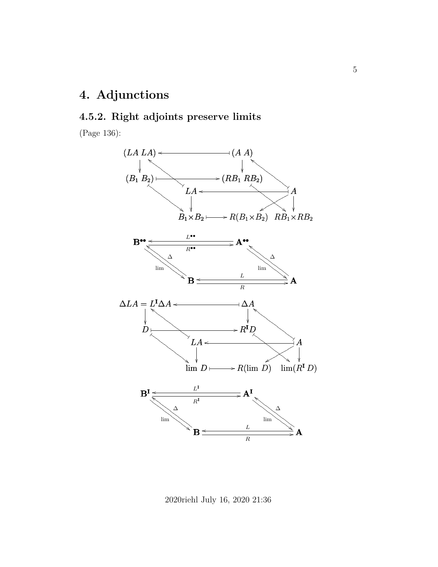# **4. Adjunctions**

#### **4.5.2. Right adjoints preserve limits**

(Page 136):



2020riehl July 16, 2020 21:36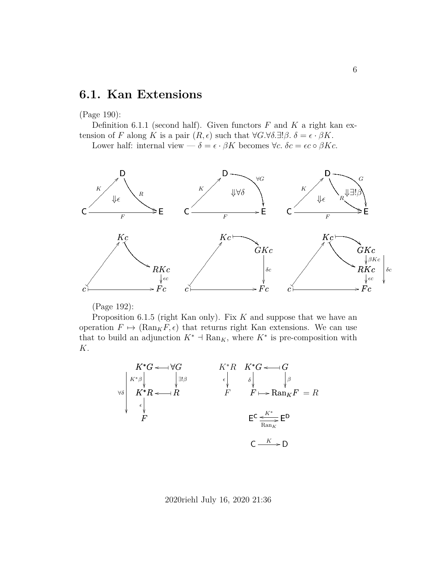### **6.1. Kan Extensions**

(Page 190):

Definition 6.1.1 (second half). Given functors  $F$  and  $K$  a right kan extension of F along K is a pair  $(R, \epsilon)$  such that  $\forall G. \forall \delta. \exists ! \beta. \delta = \epsilon \cdot \beta K$ .

Lower half: internal view —  $\delta = \epsilon \cdot \beta K$  becomes  $\forall c$ .  $\delta c = \epsilon c \circ \beta K c$ .



(Page 192):

Proposition 6.1.5 (right Kan only). Fix  $K$  and suppose that we have an operation  $F \mapsto (\text{Ran}_K F, \epsilon)$  that returns right Kan extensions. We can use that to build an adjunction  $K^*$  +  $\text{Ran}_K$ , where  $K^*$  is pre-composition with K.

$$
K^*G \leftarrow \forall G
$$
\n
$$
\forall \delta
$$
\n
$$
K^*R \leftarrow R
$$
\n
$$
\forall \delta
$$
\n
$$
K^*R \leftarrow R
$$
\n
$$
\downarrow \beta
$$
\n
$$
K^*R \leftarrow R
$$
\n
$$
\downarrow \beta
$$
\n
$$
F \leftarrow \text{Ran}_K F
$$
\n
$$
F \leftarrow \text{Ran}_K F
$$
\n
$$
F \leftarrow \text{Ran}_K F
$$
\n
$$
F \leftarrow \text{Ran}_K F
$$
\n
$$
F \leftarrow \text{Ran}_K F
$$
\n
$$
F \leftarrow \text{Ran}_K F
$$
\n
$$
F \leftarrow \text{Ran}_K F
$$
\n
$$
F \leftarrow \text{Ran}_K F
$$
\n
$$
F \leftarrow \text{Ran}_K F
$$
\n
$$
F \leftarrow \text{Ran}_K F
$$
\n
$$
F \leftarrow \text{Ran}_K F
$$